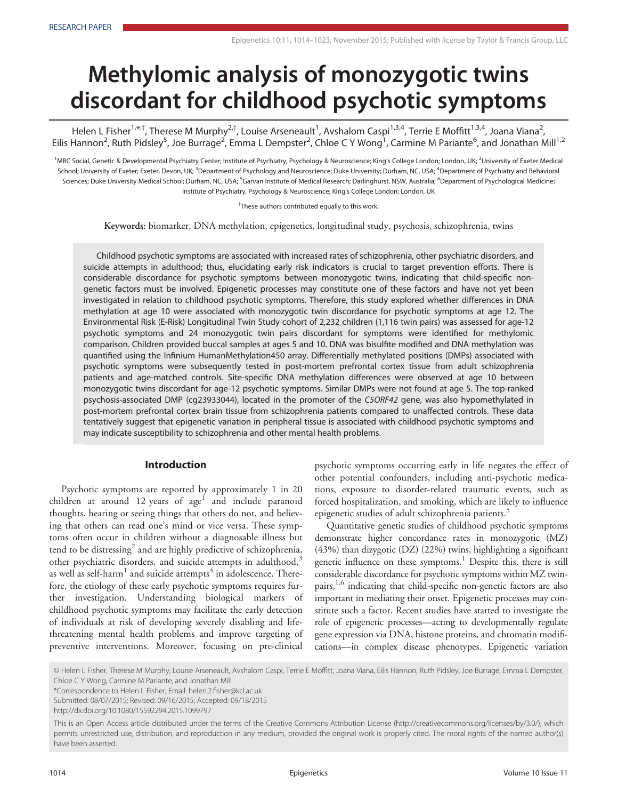# Methylomic analysis of monozygotic twins discordant for childhood psychotic symptoms

Helen L Fisher<sup>1,\*,†</sup>, Therese M Murphy<sup>2,†</sup>, Louise Arseneault<sup>1</sup>, Avshalom Caspi<sup>1,3,4</sup>, Terrie E Moffitt<sup>1,3,4</sup>, Joana Viana<sup>2</sup> , Eilis Hannon<sup>2</sup>, Ruth Pidsley<sup>5</sup>, Joe Burrage<sup>2</sup>, Emma L Dempster<sup>2</sup>, Chloe C Y Wong<sup>1</sup>, Carmine M Pariante<sup>6</sup>, and Jonathan Mill<sup>1,2</sup>

<sup>1</sup>MRC Social, Genetic & Developmental Psychiatry Center; Institute of Psychiatry, Psychology & Neuroscience; King's College London; London, UK; <sup>2</sup>University of Exeter Medical School; University of Exeter; Exeter, Devon, UK; <sup>3</sup>Department of Psychology and Neuroscience; Duke University; Durham, NC, USA; <sup>4</sup>Department of Psychiatry and Behavioral Sciences; Duke University Medical School; Durham, NC, USA; <sup>5</sup>Garvan Institute of Medical Research; Darlinghurst, NSW, Australia; <sup>6</sup>Department of Psychological Medicine; Institute of Psychiatry, Psychology & Neuroscience; King's College London; London, UK

<sup>†</sup>These authors contributed equally to this work.

Keywords: biomarker, DNA methylation, epigenetics, longitudinal study, psychosis, schizophrenia, twins

Childhood psychotic symptoms are associated with increased rates of schizophrenia, other psychiatric disorders, and suicide attempts in adulthood; thus, elucidating early risk indicators is crucial to target prevention efforts. There is considerable discordance for psychotic symptoms between monozygotic twins, indicating that child-specific nongenetic factors must be involved. Epigenetic processes may constitute one of these factors and have not yet been investigated in relation to childhood psychotic symptoms. Therefore, this study explored whether differences in DNA methylation at age 10 were associated with monozygotic twin discordance for psychotic symptoms at age 12. The Environmental Risk (E-Risk) Longitudinal Twin Study cohort of 2,232 children (1,116 twin pairs) was assessed for age-12 psychotic symptoms and 24 monozygotic twin pairs discordant for symptoms were identified for methylomic comparison. Children provided buccal samples at ages 5 and 10. DNA was bisulfite modified and DNA methylation was quantified using the Infinium HumanMethylation450 array. Differentially methylated positions (DMPs) associated with psychotic symptoms were subsequently tested in post-mortem prefrontal cortex tissue from adult schizophrenia patients and age-matched controls. Site-specific DNA methylation differences were observed at age 10 between monozygotic twins discordant for age-12 psychotic symptoms. Similar DMPs were not found at age 5. The top-ranked psychosis-associated DMP (cg23933044), located in the promoter of the C5ORF42 gene, was also hypomethylated in post-mortem prefrontal cortex brain tissue from schizophrenia patients compared to unaffected controls. These data tentatively suggest that epigenetic variation in peripheral tissue is associated with childhood psychotic symptoms and may indicate susceptibility to schizophrenia and other mental health problems.

## Introduction

Psychotic symptoms are reported by approximately 1 in 20 children at around 12 years of  $age<sup>1</sup>$  and include paranoid thoughts, hearing or seeing things that others do not, and believing that others can read one's mind or vice versa. These symptoms often occur in children without a diagnosable illness but tend to be distressing<sup>2</sup> and are highly predictive of schizophrenia, other psychiatric disorders, and suicide attempts in adulthood, $3$ as well as self-harm<sup>1</sup> and suicide attempts<sup>4</sup> in adolescence. Therefore, the etiology of these early psychotic symptoms requires further investigation. Understanding biological markers of childhood psychotic symptoms may facilitate the early detection of individuals at risk of developing severely disabling and lifethreatening mental health problems and improve targeting of preventive interventions. Moreover, focusing on pre-clinical

psychotic symptoms occurring early in life negates the effect of other potential confounders, including anti-psychotic medications, exposure to disorder-related traumatic events, such as forced hospitalization, and smoking, which are likely to influence epigenetic studies of adult schizophrenia patients.

Quantitative genetic studies of childhood psychotic symptoms demonstrate higher concordance rates in monozygotic (MZ) (43%) than dizygotic (DZ) (22%) twins, highlighting a significant genetic influence on these symptoms.<sup>1</sup> Despite this, there is still considerable discordance for psychotic symptoms within MZ twinpairs,<sup>1,6</sup> indicating that child-specific non-genetic factors are also important in mediating their onset. Epigenetic processes may constitute such a factor. Recent studies have started to investigate the role of epigenetic processes—acting to developmentally regulate gene expression via DNA, histone proteins, and chromatin modifications—in complex disease phenotypes. Epigenetic variation

© Helen L Fisher, Therese M Murphy, Louise Arseneault, Avshalom Caspi, Terrie E Moffitt, Joana Viana, Eilis Hannon, Ruth Pidsley, Joe Burrage, Emma L Dempster, Chloe C Y Wong, Carmine M Pariante, and Jonathan Mill

\*Correspondence to Helen L Fisher; Email: helen.2.fisher@kcl.ac.uk

This is an Open Access article distributed under the terms of the Creative Commons Attribution License [\(http://creativecommons.org/licenses/by/3.0/](http://creativecommons.org/licenses/by/3.0/)), which permits unrestricted use, distribution, and reproduction in any medium, provided the original work is properly cited. The moral rights of the named author(s) have been asserted.

Submitted: 08/07/2015; Revised: 09/16/2015; Accepted: 09/18/2015

http://dx.doi.org/10.1080/15592294.2015.1099797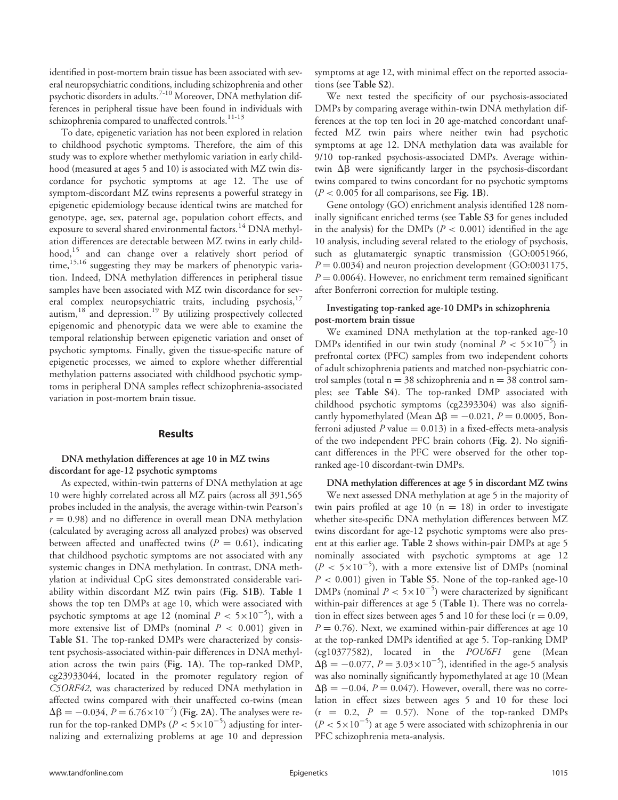identified in post-mortem brain tissue has been associated with several neuropsychiatric conditions, including schizophrenia and other psychotic disorders in adults.<sup>7-10</sup> Moreover, DNA methylation differences in peripheral tissue have been found in individuals with schizophrenia compared to unaffected controls.<sup>11-13</sup>

To date, epigenetic variation has not been explored in relation to childhood psychotic symptoms. Therefore, the aim of this study was to explore whether methylomic variation in early childhood (measured at ages 5 and 10) is associated with MZ twin discordance for psychotic symptoms at age 12. The use of symptom-discordant MZ twins represents a powerful strategy in epigenetic epidemiology because identical twins are matched for genotype, age, sex, paternal age, population cohort effects, and exposure to several shared environmental factors.<sup>14</sup> DNA methylation differences are detectable between MZ twins in early childhood,<sup>15</sup> and can change over a relatively short period of time,<sup>15,16</sup> suggesting they may be markers of phenotypic variation. Indeed, DNA methylation differences in peripheral tissue samples have been associated with MZ twin discordance for several complex neuropsychiatric traits, including psychosis, $1/$ autism,<sup>18</sup> and depression.<sup>19</sup> By utilizing prospectively collected epigenomic and phenotypic data we were able to examine the temporal relationship between epigenetic variation and onset of psychotic symptoms. Finally, given the tissue-specific nature of epigenetic processes, we aimed to explore whether differential methylation patterns associated with childhood psychotic symptoms in peripheral DNA samples reflect schizophrenia-associated variation in post-mortem brain tissue.

#### Results

# DNA methylation differences at age 10 in MZ twins discordant for age-12 psychotic symptoms

As expected, within-twin patterns of DNA methylation at age 10 were highly correlated across all MZ pairs (across all 391,565 probes included in the analysis, the average within-twin Pearson's  $r = 0.98$ ) and no difference in overall mean DNA methylation (calculated by averaging across all analyzed probes) was observed between affected and unaffected twins ( $P = 0.61$ ), indicating that childhood psychotic symptoms are not associated with any systemic changes in DNA methylation. In contrast, DNA methylation at individual CpG sites demonstrated considerable variability within discordant MZ twin pairs (Fig. S1B). Table 1 shows the top ten DMPs at age 10, which were associated with psychotic symptoms at age 12 (nominal  $P < 5 \times 10^{-5}$ ), with a more extensive list of DMPs (nominal  $P < 0.001$ ) given in Table S1. The top-ranked DMPs were characterized by consistent psychosis-associated within-pair differences in DNA methylation across the twin pairs (Fig. 1A). The top-ranked DMP, cg23933044, located in the promoter regulatory region of C5ORF42, was characterized by reduced DNA methylation in affected twins compared with their unaffected co-twins (mean  $\Delta \beta = -0.034, P = 6.76 \times 10^{-7}$ ) (Fig. 2A). The analyses were rerun for the top-ranked DMPs ( $P < 5 \times 10^{-5}$ ) adjusting for internalizing and externalizing problems at age 10 and depression symptoms at age 12, with minimal effect on the reported associations (see Table S2).

We next tested the specificity of our psychosis-associated DMPs by comparing average within-twin DNA methylation differences at the top ten loci in 20 age-matched concordant unaffected MZ twin pairs where neither twin had psychotic symptoms at age 12. DNA methylation data was available for 9/10 top-ranked psychosis-associated DMPs. Average withintwin  $\Delta\beta$  were significantly larger in the psychosis-discordant twins compared to twins concordant for no psychotic symptoms  $(P < 0.005$  for all comparisons, see Fig. 1B).

Gene ontology (GO) enrichment analysis identified 128 nominally significant enriched terms (see Table S3 for genes included in the analysis) for the DMPs ( $P < 0.001$ ) identified in the age 10 analysis, including several related to the etiology of psychosis, such as glutamatergic synaptic transmission (GO:0051966,  $P = 0.0034$ ) and neuron projection development (GO:0031175,  $P = 0.0064$ ). However, no enrichment term remained significant after Bonferroni correction for multiple testing.

# Investigating top-ranked age-10 DMPs in schizophrenia post-mortem brain tissue

We examined DNA methylation at the top-ranked age-10 DMPs identified in our twin study (nominal  $\hat{P} < 5 \times 10^{-5}$ ) in prefrontal cortex (PFC) samples from two independent cohorts of adult schizophrenia patients and matched non-psychiatric control samples (total  $n = 38$  schizophrenia and  $n = 38$  control samples; see Table S4). The top-ranked DMP associated with childhood psychotic symptoms (cg2393304) was also significantly hypomethylated (Mean  $\Delta \beta = -0.021$ ,  $P = 0.0005$ , Bonferroni adjusted P value  $= 0.013$ ) in a fixed-effects meta-analysis of the two independent PFC brain cohorts (Fig. 2). No significant differences in the PFC were observed for the other topranked age-10 discordant-twin DMPs.

# DNA methylation differences at age 5 in discordant MZ twins

We next assessed DNA methylation at age 5 in the majority of twin pairs profiled at age 10 ( $n = 18$ ) in order to investigate whether site-specific DNA methylation differences between MZ twins discordant for age-12 psychotic symptoms were also present at this earlier age. Table 2 shows within-pair DMPs at age 5 nominally associated with psychotic symptoms at age 12  $(P < 5 \times 10^{-5})$ , with a more extensive list of DMPs (nominal  $P < 0.001$ ) given in Table S5. None of the top-ranked age-10 DMPs (nominal  $P < 5 \times 10^{-5}$ ) were characterized by significant within-pair differences at age 5 (Table 1). There was no correlation in effect sizes between ages 5 and 10 for these loci  $(r = 0.09,$  $P = 0.76$ ). Next, we examined within-pair differences at age 10 at the top-ranked DMPs identified at age 5. Top-ranking DMP (cg10377582), located in the POU6F1 gene (Mean  $\Delta \beta = -0.077$ ,  $P = 3.03 \times 10^{-5}$ ), identified in the age-5 analysis was also nominally significantly hypomethylated at age 10 (Mean  $\Delta \beta = -0.04$ ,  $P = 0.047$ ). However, overall, there was no correlation in effect sizes between ages 5 and 10 for these loci  $(r = 0.2, P = 0.57)$ . None of the top-ranked DMPs  $(P < 5 \times 10^{-5})$  at age 5 were associated with schizophrenia in our PFC schizophrenia meta-analysis.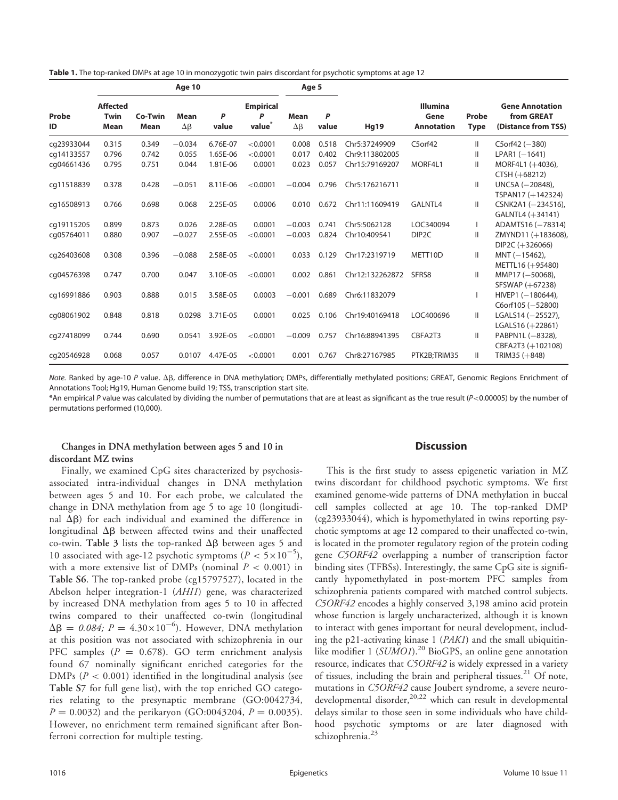Table 1. The top-ranked DMPs at age 10 in monozygotic twin pairs discordant for psychotic symptoms at age 12

|             | <b>Age 10</b>                   |                 |                               |            |                                |                               | Age 5      |                 |                                              |                      |                                                             |
|-------------|---------------------------------|-----------------|-------------------------------|------------|--------------------------------|-------------------------------|------------|-----------------|----------------------------------------------|----------------------|-------------------------------------------------------------|
| Probe<br>ID | <b>Affected</b><br>Twin<br>Mean | Co-Twin<br>Mean | <b>Mean</b><br>$\Delta \beta$ | P<br>value | <b>Empirical</b><br>P<br>value | <b>Mean</b><br>$\Delta \beta$ | P<br>value | <b>Hg19</b>     | <b>Illumina</b><br>Gene<br><b>Annotation</b> | Probe<br><b>Type</b> | <b>Gene Annotation</b><br>from GREAT<br>(Distance from TSS) |
| cq23933044  | 0.315                           | 0.349           | $-0.034$                      | 6.76E-07   | < 0.0001                       | 0.008                         | 0.518      | Chr5:37249909   | C5orf42                                      | Ш                    | $C5$ orf42 $(-380)$                                         |
| cq14133557  | 0.796                           | 0.742           | 0.055                         | 1.65E-06   | < 0.0001                       | 0.017                         | 0.402      | Chr9:113802005  |                                              | $\mathsf{I}$         | LPAR1 (-1641)                                               |
| cg04661436  | 0.795                           | 0.751           | 0.044                         | 1.81E-06   | 0.0001                         | 0.023                         | 0.057      | Chr15:79169207  | MORF4L1                                      | Ш                    | MORF4L1 (+4036),<br>$CTSH (+68212)$                         |
| cg11518839  | 0.378                           | 0.428           | $-0.051$                      | 8.11E-06   | < 0.0001                       | $-0.004$                      | 0.796      | Chr5:176216711  |                                              | Ш                    | UNC5A (-20848),<br>TSPAN17 (+142324)                        |
| cq16508913  | 0.766                           | 0.698           | 0.068                         | 2.25E-05   | 0.0006                         | 0.010                         | 0.672      | Chr11:11609419  | GALNTL4                                      | Ш                    | CSNK2A1 (-234516),<br>GALNTL4 (+34141)                      |
| cq19115205  | 0.899                           | 0.873           | 0.026                         | 2.28E-05   | 0.0001                         | $-0.003$                      | 0.741      | Chr5:5062128    | LOC340094                                    |                      | ADAMTS16 (-78314)                                           |
| cg05764011  | 0.880                           | 0.907           | $-0.027$                      | 2.55E-05   | < 0.0001                       | $-0.003$                      | 0.824      | Chr10:409541    | DIP <sub>2</sub> C                           | Ш                    | ZMYND11 (+183608),<br>$DIP2C (+326066)$                     |
| cq26403608  | 0.308                           | 0.396           | $-0.088$                      | 2.58E-05   | < 0.0001                       | 0.033                         | 0.129      | Chr17:2319719   | METT10D                                      | Ш                    | $MNT (-15462)$ ,<br>METTL16 (+95480)                        |
| cq04576398  | 0.747                           | 0.700           | 0.047                         | 3.10E-05   | < 0.0001                       | 0.002                         | 0.861      | Chr12:132262872 | SFRS8                                        | Ш                    | MMP17 (-50068),<br>SFSWAP (+67238)                          |
| cq16991886  | 0.903                           | 0.888           | 0.015                         | 3.58E-05   | 0.0003                         | $-0.001$                      | 0.689      | Chr6:11832079   |                                              |                      | HIVEP1 (-180644),<br>C6orf105 (-52800)                      |
| cq08061902  | 0.848                           | 0.818           | 0.0298                        | 3.71E-05   | 0.0001                         | 0.025                         | 0.106      | Chr19:40169418  | LOC400696                                    | $\mathsf{I}$         | LGALS14 (-25527),<br>LGALS16 (+22861)                       |
| cg27418099  | 0.744                           | 0.690           | 0.0541                        | 3.92E-05   | < 0.0001                       | $-0.009$                      | 0.757      | Chr16:88941395  | CBFA2T3                                      | Ш                    | PABPN1L (-8328),<br>CBFA2T3 (+102108)                       |
| cq20546928  | 0.068                           | 0.057           | 0.0107                        | 4.47E-05   | < 0.0001                       | 0.001                         | 0.767      | Chr8:27167985   | PTK2B;TRIM35                                 | $\mathsf{I}$         | TRIM35 (+848)                                               |

Note. Ranked by age-10 P value. Δβ, difference in DNA methylation; DMPs, differentially methylated positions; GREAT, Genomic Regions Enrichment of Annotations Tool; Hg19, Human Genome build 19; TSS, transcription start site.

\*An empirical P value was calculated by dividing the number of permutations that are at least as significant as the true result (P<0.00005) by the number of permutations performed (10,000).

# Changes in DNA methylation between ages 5 and 10 in discordant MZ twins

Finally, we examined CpG sites characterized by psychosisassociated intra-individual changes in DNA methylation between ages 5 and 10. For each probe, we calculated the change in DNA methylation from age 5 to age 10 (longitudinal  $\Delta\beta$ ) for each individual and examined the difference in longitudinal  $\Delta\beta$  between affected twins and their unaffected co-twin. Table 3 lists the top-ranked  $\Delta\beta$  between ages 5 and 10 associated with age-12 psychotic symptoms ( $P < 5 \times 10^{-5}$ ), with a more extensive list of DMPs (nominal  $P < 0.001$ ) in Table S6. The top-ranked probe (cg15797527), located in the Abelson helper integration-1 (AHI1) gene, was characterized by increased DNA methylation from ages 5 to 10 in affected twins compared to their unaffected co-twin (longitudinal  $\Delta \beta = 0.084; P = 4.30 \times 10^{-6}$ ). However, DNA methylation at this position was not associated with schizophrenia in our PFC samples  $(P = 0.678)$ . GO term enrichment analysis found 67 nominally significant enriched categories for the DMPs ( $P < 0.001$ ) identified in the longitudinal analysis (see Table S7 for full gene list), with the top enriched GO categories relating to the presynaptic membrane (GO:0042734,  $P = 0.0032$ ) and the perikaryon (GO:0043204,  $P = 0.0035$ ). However, no enrichment term remained significant after Bonferroni correction for multiple testing.

# **Discussion**

This is the first study to assess epigenetic variation in MZ twins discordant for childhood psychotic symptoms. We first examined genome-wide patterns of DNA methylation in buccal cell samples collected at age 10. The top-ranked DMP (cg23933044), which is hypomethylated in twins reporting psychotic symptoms at age 12 compared to their unaffected co-twin, is located in the promoter regulatory region of the protein coding gene C5ORF42 overlapping a number of transcription factor binding sites (TFBSs). Interestingly, the same CpG site is significantly hypomethylated in post-mortem PFC samples from schizophrenia patients compared with matched control subjects. C5ORF42 encodes a highly conserved 3,198 amino acid protein whose function is largely uncharacterized, although it is known to interact with genes important for neural development, including the p21-activating kinase  $1 (PAKI)$  and the small ubiquitinlike modifier 1  $(SUMO1)$ .<sup>20</sup> BioGPS, an online gene annotation resource, indicates that C5ORF42 is widely expressed in a variety of tissues, including the brain and peripheral tissues.<sup>21</sup> Of note, mutations in C5ORF42 cause Joubert syndrome, a severe neurodevelopmental disorder,20,22 which can result in developmental delays similar to those seen in some individuals who have childhood psychotic symptoms or are later diagnosed with schizophrenia.<sup>23</sup>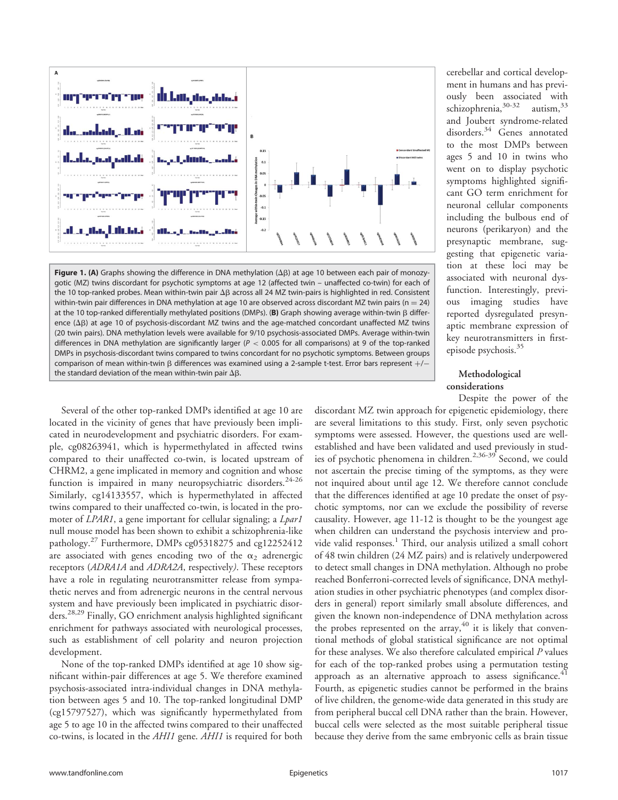

Figure 1. (A) Graphs showing the difference in DNA methylation ( $\Delta\beta$ ) at age 10 between each pair of monozygotic (MZ) twins discordant for psychotic symptoms at age 12 (affected twin – unaffected co-twin) for each of the 10 top-ranked probes. Mean within-twin pair  $\Delta\beta$  across all 24 MZ twin-pairs is highlighted in red. Consistent within-twin pair differences in DNA methylation at age 10 are observed across discordant MZ twin pairs ( $n = 24$ ) at the 10 top-ranked differentially methylated positions (DMPs). (B) Graph showing average within-twin  $\beta$  difference  $(\Delta \beta)$  at age 10 of psychosis-discordant MZ twins and the age-matched concordant unaffected MZ twins (20 twin pairs). DNA methylation levels were available for 9/10 psychosis-associated DMPs. Average within-twin differences in DNA methylation are significantly larger ( $P < 0.005$  for all comparisons) at 9 of the top-ranked DMPs in psychosis-discordant twins compared to twins concordant for no psychotic symptoms. Between groups comparison of mean within-twin  $\beta$  differences was examined using a 2-sample t-test. Error bars represent  $+/$ the standard deviation of the mean within-twin pair  $\Delta\beta$ .

cerebellar and cortical development in humans and has previously been associated with schizophrenia,<sup>30-32</sup> autism,<sup>33</sup> and Joubert syndrome-related disorders.<sup>34</sup> Genes annotated to the most DMPs between ages 5 and 10 in twins who went on to display psychotic symptoms highlighted significant GO term enrichment for neuronal cellular components including the bulbous end of neurons (perikaryon) and the presynaptic membrane, suggesting that epigenetic variation at these loci may be associated with neuronal dysfunction. Interestingly, previous imaging studies have reported dysregulated presynaptic membrane expression of key neurotransmitters in firstepisode psychosis.<sup>35</sup>

# Methodological considerations

Despite the power of the

Several of the other top-ranked DMPs identified at age 10 are located in the vicinity of genes that have previously been implicated in neurodevelopment and psychiatric disorders. For example, cg08263941, which is hypermethylated in affected twins compared to their unaffected co-twin, is located upstream of CHRM2, a gene implicated in memory and cognition and whose function is impaired in many neuropsychiatric disorders.<sup>24-26</sup> Similarly, cg14133557, which is hypermethylated in affected twins compared to their unaffected co-twin, is located in the promoter of *LPAR1*, a gene important for cellular signaling; a *Lpar1* null mouse model has been shown to exhibit a schizophrenia-like pathology.<sup>27</sup> Furthermore, DMPs cg05318275 and cg12252412 are associated with genes encoding two of the  $\alpha_2$  adrenergic receptors (ADRA1A and ADRA2A, respectively). These receptors have a role in regulating neurotransmitter release from sympathetic nerves and from adrenergic neurons in the central nervous system and have previously been implicated in psychiatric disorders.<sup>28,29</sup> Finally, GO enrichment analysis highlighted significant enrichment for pathways associated with neurological processes, such as establishment of cell polarity and neuron projection development.

None of the top-ranked DMPs identified at age 10 show significant within-pair differences at age 5. We therefore examined psychosis-associated intra-individual changes in DNA methylation between ages 5 and 10. The top-ranked longitudinal DMP (cg15797527), which was significantly hypermethylated from age 5 to age 10 in the affected twins compared to their unaffected co-twins, is located in the AHI1 gene. AHI1 is required for both discordant MZ twin approach for epigenetic epidemiology, there are several limitations to this study. First, only seven psychotic symptoms were assessed. However, the questions used are wellestablished and have been validated and used previously in studies of psychotic phenomena in children.<sup>2,36-39</sup> Second, we could not ascertain the precise timing of the symptoms, as they were not inquired about until age 12. We therefore cannot conclude that the differences identified at age 10 predate the onset of psychotic symptoms, nor can we exclude the possibility of reverse causality. However, age 11-12 is thought to be the youngest age when children can understand the psychosis interview and provide valid responses.<sup>1</sup> Third, our analysis utilized a small cohort of 48 twin children (24 MZ pairs) and is relatively underpowered to detect small changes in DNA methylation. Although no probe reached Bonferroni-corrected levels of significance, DNA methylation studies in other psychiatric phenotypes (and complex disorders in general) report similarly small absolute differences, and given the known non-independence of DNA methylation across the probes represented on the array, $40$  it is likely that conventional methods of global statistical significance are not optimal for these analyses. We also therefore calculated empirical  $P$  values for each of the top-ranked probes using a permutation testing approach as an alternative approach to assess significance.<sup>41</sup> Fourth, as epigenetic studies cannot be performed in the brains of live children, the genome-wide data generated in this study are from peripheral buccal cell DNA rather than the brain. However, buccal cells were selected as the most suitable peripheral tissue because they derive from the same embryonic cells as brain tissue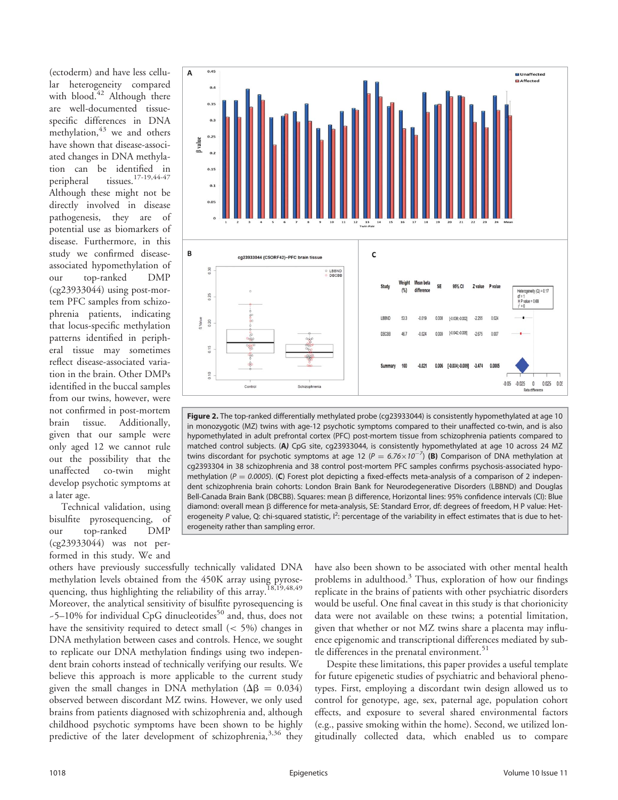(ectoderm) and have less cellular heterogeneity compared with blood. $42$  Although there are well-documented tissuespecific differences in DNA methylation,  $43$  we and others have shown that disease-associated changes in DNA methylation can be identified in peripheral tissues.<sup>17-19,44-47</sup> Although these might not be directly involved in disease pathogenesis, they are of potential use as biomarkers of disease. Furthermore, in this study we confirmed diseaseassociated hypomethylation of our top-ranked DMP (cg23933044) using post-mortem PFC samples from schizophrenia patients, indicating that locus-specific methylation patterns identified in peripheral tissue may sometimes reflect disease-associated variation in the brain. Other DMPs identified in the buccal samples from our twins, however, were not confirmed in post-mortem brain tissue. Additionally, given that our sample were only aged 12 we cannot rule out the possibility that the unaffected co-twin might develop psychotic symptoms at a later age.

Technical validation, using bisulfite pyrosequencing, of our top-ranked DMP (cg23933044) was not performed in this study. We and

others have previously successfully technically validated DNA methylation levels obtained from the 450K array using pyrosequencing, thus highlighting the reliability of this array.<sup>18,19,48,49</sup> Moreover, the analytical sensitivity of bisulfite pyrosequencing is  $-5-10\%$  for individual CpG dinucleotides<sup>50</sup> and, thus, does not have the sensitivity required to detect small  $(< 5\%)$  changes in DNA methylation between cases and controls. Hence, we sought to replicate our DNA methylation findings using two independent brain cohorts instead of technically verifying our results. We believe this approach is more applicable to the current study given the small changes in DNA methylation ( $\Delta \beta = 0.034$ ) observed between discordant MZ twins. However, we only used brains from patients diagnosed with schizophrenia and, although childhood psychotic symptoms have been shown to be highly predictive of the later development of schizophrenia,<sup>3,36</sup> they

have also been shown to be associated with other mental health problems in adulthood.<sup>3</sup> Thus, exploration of how our findings replicate in the brains of patients with other psychiatric disorders would be useful. One final caveat in this study is that chorionicity data were not available on these twins; a potential limitation, given that whether or not MZ twins share a placenta may influence epigenomic and transcriptional differences mediated by subtle differences in the prenatal environment.<sup>51</sup>

Despite these limitations, this paper provides a useful template for future epigenetic studies of psychiatric and behavioral phenotypes. First, employing a discordant twin design allowed us to control for genotype, age, sex, paternal age, population cohort effects, and exposure to several shared environmental factors (e.g., passive smoking within the home). Second, we utilized longitudinally collected data, which enabled us to compare



Figure 2. The top-ranked differentially methylated probe (cg23933044) is consistently hypomethylated at age 10 in monozygotic (MZ) twins with age-12 psychotic symptoms compared to their unaffected co-twin, and is also hypomethylated in adult prefrontal cortex (PFC) post-mortem tissue from schizophrenia patients compared to matched control subjects. (A) CpG site, cg23933044, is consistently hypomethylated at age 10 across 24 MZ twins discordant for psychotic symptoms at age 12 ( $P = 6.76 \times 10^{-7}$ ) (B) Comparison of DNA methylation at cg2393304 in 38 schizophrenia and 38 control post-mortem PFC samples confirms psychosis-associated hypomethylation ( $P = 0.0005$ ). (C) Forest plot depicting a fixed-effects meta-analysis of a comparison of 2 independent schizophrenia brain cohorts: London Brain Bank for Neurodegenerative Disorders (LBBND) and Douglas Bell-Canada Brain Bank (DBCBB). Squares: mean b difference, Horizontal lines: 95% confidence intervals (CI): Blue diamond: overall mean b difference for meta-analysis, SE: Standard Error, df: degrees of freedom, H P value: Heterogeneity P value, Q: chi-squared statistic, I<sup>2</sup>: percentage of the variability in effect estimates that is due to heterogeneity rather than sampling error.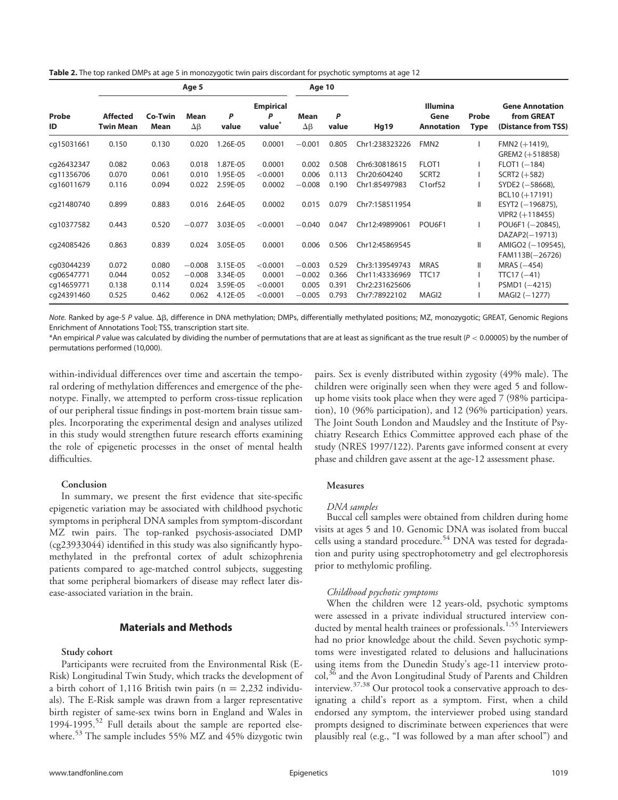Table 2. The top ranked DMPs at age 5 in monozygotic twin pairs discordant for psychotic symptoms at age 12

|             | Age 5                        |                 |                        |            |                                             |            | Age 10     |                |                                       |                      |                                                             |
|-------------|------------------------------|-----------------|------------------------|------------|---------------------------------------------|------------|------------|----------------|---------------------------------------|----------------------|-------------------------------------------------------------|
| Probe<br>ID | <b>Affected</b><br>Twin Mean | Co-Twin<br>Mean | Mean<br>$\Delta \beta$ | P<br>value | <b>Empirical</b><br>P<br>value <sup>®</sup> | Mean<br>Δβ | P<br>value | <b>Hg19</b>    | <b>Illumina</b><br>Gene<br>Annotation | Probe<br><b>Type</b> | <b>Gene Annotation</b><br>from GREAT<br>(Distance from TSS) |
| cq15031661  | 0.150                        | 0.130           | 0.020                  | 1.26E-05   | 0.0001                                      | $-0.001$   | 0.805      | Chr1:238323226 | FMN <sub>2</sub>                      |                      | $FMN2 (+1419),$<br>$GREM2 (+518858)$                        |
| cg26432347  | 0.082                        | 0.063           | 0.018                  | 1.87E-05   | 0.0001                                      | 0.002      | 0.508      | Chr6:30818615  | FLOT1                                 |                      | $FLOT1 (-184)$                                              |
| cq11356706  | 0.070                        | 0.061           | 0.010                  | 1.95E-05   | < 0.0001                                    | 0.006      | 0.113      | Chr20:604240   | SCRT2                                 |                      | SCRT2 $(+582)$                                              |
| cq16011679  | 0.116                        | 0.094           | 0.022                  | 2.59E-05   | 0.0002                                      | $-0.008$   | 0.190      | Chr1:85497983  | C1orf52                               |                      | SYDE2 (-58668),<br>$BCL10 (+17191)$                         |
| cg21480740  | 0.899                        | 0.883           | 0.016                  | 2.64E-05   | 0.0002                                      | 0.015      | 0.079      | Chr7:158511954 |                                       | Ш                    | ESYT2 $(-196875)$ ,<br>$VIPR2 (+118455)$                    |
| cg10377582  | 0.443                        | 0.520           | $-0.077$               | 3.03E-05   | < 0.0001                                    | $-0.040$   | 0.047      | Chr12:49899061 | POU6F1                                |                      | POU6F1 (-20845),<br>DAZAP2(-19713)                          |
| cq24085426  | 0.863                        | 0.839           | 0.024                  | 3.05E-05   | 0.0001                                      | 0.006      | 0.506      | Chr12:45869545 |                                       | Ш                    | AMIGO2 (-109545),<br>FAM113B(-26726)                        |
| cg03044239  | 0.072                        | 0.080           | $-0.008$               | 3.15E-05   | < 0.0001                                    | $-0.003$   | 0.529      | Chr3:139549743 | <b>MRAS</b>                           | Ш                    | MRAS (-454)                                                 |
| cg06547771  | 0.044                        | 0.052           | $-0.008$               | 3.34E-05   | 0.0001                                      | $-0.002$   | 0.366      | Chr11:43336969 | <b>TTC17</b>                          |                      | $TTC17(-41)$                                                |
| cg14659771  | 0.138                        | 0.114           | 0.024                  | 3.59E-05   | < 0.0001                                    | 0.005      | 0.391      | Chr2:231625606 |                                       |                      | PSMD1 (-4215)                                               |
| cq24391460  | 0.525                        | 0.462           | 0.062                  | 4.12E-05   | < 0.0001                                    | $-0.005$   | 0.793      | Chr7:78922102  | MAGI2                                 |                      | MAGI2 (-1277)                                               |

Note. Ranked by age-5 P value. Δβ, difference in DNA methylation; DMPs, differentially methylated positions; MZ, monozygotic; GREAT, Genomic Regions Enrichment of Annotations Tool; TSS, transcription start site.

\*An empirical P value was calculated by dividing the number of permutations that are at least as significant as the true result  $(P < 0.00005)$  by the number of permutations performed (10,000).

within-individual differences over time and ascertain the temporal ordering of methylation differences and emergence of the phenotype. Finally, we attempted to perform cross-tissue replication of our peripheral tissue findings in post-mortem brain tissue samples. Incorporating the experimental design and analyses utilized in this study would strengthen future research efforts examining the role of epigenetic processes in the onset of mental health difficulties.

## Conclusion

In summary, we present the first evidence that site-specific epigenetic variation may be associated with childhood psychotic symptoms in peripheral DNA samples from symptom-discordant MZ twin pairs. The top-ranked psychosis-associated DMP (cg23933044) identified in this study was also significantly hypomethylated in the prefrontal cortex of adult schizophrenia patients compared to age-matched control subjects, suggesting that some peripheral biomarkers of disease may reflect later disease-associated variation in the brain.

## Materials and Methods

#### Study cohort

Participants were recruited from the Environmental Risk (E-Risk) Longitudinal Twin Study, which tracks the development of a birth cohort of 1,116 British twin pairs ( $n = 2,232$  individuals). The E-Risk sample was drawn from a larger representative birth register of same-sex twins born in England and Wales in 1994-1995.<sup>52</sup> Full details about the sample are reported elsewhere.<sup>53</sup> The sample includes 55% MZ and 45% dizygotic twin

pairs. Sex is evenly distributed within zygosity (49% male). The children were originally seen when they were aged 5 and followup home visits took place when they were aged 7 (98% participation), 10 (96% participation), and 12 (96% participation) years. The Joint South London and Maudsley and the Institute of Psychiatry Research Ethics Committee approved each phase of the study (NRES 1997/122). Parents gave informed consent at every phase and children gave assent at the age-12 assessment phase.

## Measures

## DNA samples

Buccal cell samples were obtained from children during home visits at ages 5 and 10. Genomic DNA was isolated from buccal cells using a standard procedure.<sup>54</sup> DNA was tested for degradation and purity using spectrophotometry and gel electrophoresis prior to methylomic profiling.

## Childhood psychotic symptoms

When the children were 12 years-old, psychotic symptoms were assessed in a private individual structured interview conducted by mental health trainees or professionals.<sup>1,55</sup> Interviewers had no prior knowledge about the child. Seven psychotic symptoms were investigated related to delusions and hallucinations using items from the Dunedin Study's age-11 interview protocol,<sup>36</sup> and the Avon Longitudinal Study of Parents and Children interview.37,38 Our protocol took a conservative approach to designating a child's report as a symptom. First, when a child endorsed any symptom, the interviewer probed using standard prompts designed to discriminate between experiences that were plausibly real (e.g., "I was followed by a man after school") and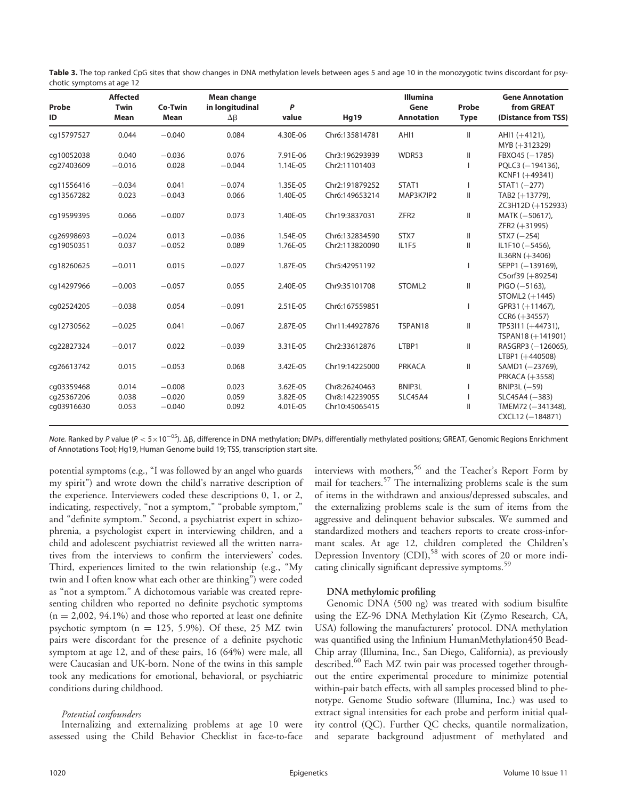Table 3. The top ranked CpG sites that show changes in DNA methylation levels between ages 5 and age 10 in the monozygotic twins discordant for psychotic symptoms at age 12

| Probe<br>ID | <b>Affected</b><br>Twin<br>Mean | Co-Twin<br>Mean | Mean change<br>in longitudinal<br>$\Delta \beta$ | P<br>value | <b>Hg19</b>    | Illumina<br>Gene<br><b>Annotation</b> | Probe<br><b>Type</b> | <b>Gene Annotation</b><br>from GREAT<br>(Distance from TSS) |
|-------------|---------------------------------|-----------------|--------------------------------------------------|------------|----------------|---------------------------------------|----------------------|-------------------------------------------------------------|
| cq15797527  | 0.044                           | $-0.040$        | 0.084                                            | 4.30E-06   | Chr6:135814781 | AHI1                                  | Ш                    | $AHI1 (+4121)$ ,<br>MYB (+312329)                           |
| cq10052038  | 0.040                           | $-0.036$        | 0.076                                            | 7.91E-06   | Chr3:196293939 | WDR53                                 | II                   | FBXO45 (-1785)                                              |
| cq27403609  | $-0.016$                        | 0.028           | $-0.044$                                         | 1.14E-05   | Chr2:11101403  |                                       |                      | PQLC3 (-194136),<br>$KCNF1 (+49341)$                        |
| cq11556416  | $-0.034$                        | 0.041           | $-0.074$                                         | 1.35E-05   | Chr2:191879252 | STAT1                                 |                      | $STAT1 (-277)$                                              |
| cq13567282  | 0.023                           | $-0.043$        | 0.066                                            | 1.40E-05   | Chr6:149653214 | MAP3K7IP2                             | $\mathbf{II}$        | TAB2 $(+13779)$ ,<br>ZC3H12D (+152933)                      |
| cq19599395  | 0.066                           | $-0.007$        | 0.073                                            | 1.40E-05   | Chr19:3837031  | ZFR <sub>2</sub>                      | $\mathbf{II}$        | MATK (-50617),<br>ZFR2 (+31995)                             |
| cq26998693  | $-0.024$                        | 0.013           | $-0.036$                                         | 1.54E-05   | Chr6:132834590 | STX7                                  | II                   | $STX7 (-254)$                                               |
| cq19050351  | 0.037                           | $-0.052$        | 0.089                                            | 1.76E-05   | Chr2:113820090 | IL1F5                                 | Ш                    | IL1F10 $(-5456)$ ,<br>$IL36RN (+3406)$                      |
| cq18260625  | $-0.011$                        | 0.015           | $-0.027$                                         | 1.87E-05   | Chr5:42951192  |                                       |                      | SEPP1 (-139169),<br>C5orf39 (+89254)                        |
| cq14297966  | $-0.003$                        | $-0.057$        | 0.055                                            | 2.40E-05   | Chr9:35101708  | STOML2                                | Ш                    | $PIGO (-5163)$ ,<br>STOML2 (+1445)                          |
| cq02524205  | $-0.038$                        | 0.054           | $-0.091$                                         | 2.51E-05   | Chr6:167559851 |                                       |                      | $GPR31 (+11467)$ ,<br>$CCR6 (+34557)$                       |
| cg12730562  | $-0.025$                        | 0.041           | $-0.067$                                         | 2.87E-05   | Chr11:44927876 | TSPAN18                               | $\mathbb{I}$         | TP53I11 (+44731),<br>TSPAN18 $(+141901)$                    |
| cg22827324  | $-0.017$                        | 0.022           | $-0.039$                                         | 3.31E-05   | Chr2:33612876  | LTBP1                                 | $\mathbf{II}$        | RASGRP3 (-126065),<br>LTBP1 (+440508)                       |
| cg26613742  | 0.015                           | $-0.053$        | 0.068                                            | 3.42E-05   | Chr19:14225000 | <b>PRKACA</b>                         | Ш                    | SAMD1 (-23769),<br><b>PRKACA (+3558)</b>                    |
| cg03359468  | 0.014                           | $-0.008$        | 0.023                                            | 3.62E-05   | Chr8:26240463  | BNIP3L                                |                      | BNIP3L $(-59)$                                              |
| cq25367206  | 0.038                           | $-0.020$        | 0.059                                            | 3.82E-05   | Chr8:142239055 | SLC45A4                               |                      | SLC45A4 (-383)                                              |
| cq03916630  | 0.053                           | $-0.040$        | 0.092                                            | 4.01E-05   | Chr10:45065415 |                                       | Ш                    | TMEM72 (-341348),<br>CXCL12 (-184871)                       |

Note. Ranked by P value (P < 5 × 10<sup>-05</sup>).  $\Delta\beta$ , difference in DNA methylation; DMPs, differentially methylated positions; GREAT, Genomic Regions Enrichment of Annotations Tool; Hg19, Human Genome build 19; TSS, transcription start site.

potential symptoms (e.g., "I was followed by an angel who guards my spirit") and wrote down the child's narrative description of the experience. Interviewers coded these descriptions 0, 1, or 2, indicating, respectively, "not a symptom," "probable symptom," and "definite symptom." Second, a psychiatrist expert in schizophrenia, a psychologist expert in interviewing children, and a child and adolescent psychiatrist reviewed all the written narratives from the interviews to confirm the interviewers' codes. Third, experiences limited to the twin relationship (e.g., "My twin and I often know what each other are thinking") were coded as "not a symptom." A dichotomous variable was created representing children who reported no definite psychotic symptoms  $(n = 2,002, 94.1\%)$  and those who reported at least one definite psychotic symptom ( $n = 125, 5.9%$ ). Of these, 25 MZ twin pairs were discordant for the presence of a definite psychotic symptom at age 12, and of these pairs, 16 (64%) were male, all were Caucasian and UK-born. None of the twins in this sample took any medications for emotional, behavioral, or psychiatric conditions during childhood.

## Potential confounders

Internalizing and externalizing problems at age 10 were assessed using the Child Behavior Checklist in face-to-face interviews with mothers,<sup>56</sup> and the Teacher's Report Form by mail for teachers.<sup>57</sup> The internalizing problems scale is the sum of items in the withdrawn and anxious/depressed subscales, and the externalizing problems scale is the sum of items from the aggressive and delinquent behavior subscales. We summed and standardized mothers and teachers reports to create cross-informant scales. At age 12, children completed the Children's Depression Inventory (CDI),<sup>58</sup> with scores of 20 or more indicating clinically significant depressive symptoms.<sup>59</sup>

# DNA methylomic profiling

Genomic DNA (500 ng) was treated with sodium bisulfite using the EZ-96 DNA Methylation Kit (Zymo Research, CA, USA) following the manufacturers' protocol. DNA methylation was quantified using the Infinium HumanMethylation450 Bead-Chip array (Illumina, Inc., San Diego, California), as previously described.<sup>60</sup> Each MZ twin pair was processed together throughout the entire experimental procedure to minimize potential within-pair batch effects, with all samples processed blind to phenotype. Genome Studio software (Illumina, Inc.) was used to extract signal intensities for each probe and perform initial quality control (QC). Further QC checks, quantile normalization, and separate background adjustment of methylated and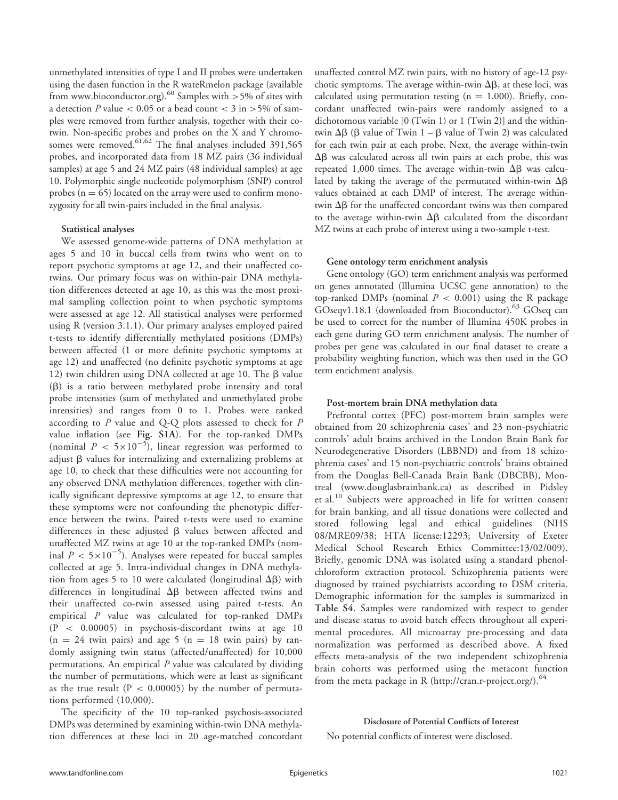unmethylated intensities of type I and II probes were undertaken using the dasen function in the R wateRmelon package (available from www.bioconductor.org).<sup>60</sup> Samples with  $>5\%$  of sites with a detection P value  $< 0.05$  or a bead count  $< 3$  in  $> 5\%$  of samples were removed from further analysis, together with their cotwin. Non-specific probes and probes on the X and Y chromosomes were removed.<sup>61,62</sup> The final analyses included 391,565 probes, and incorporated data from 18 MZ pairs (36 individual samples) at age 5 and 24 MZ pairs (48 individual samples) at age 10. Polymorphic single nucleotide polymorphism (SNP) control probes ( $n = 65$ ) located on the array were used to confirm monozygosity for all twin-pairs included in the final analysis.

#### Statistical analyses

We assessed genome-wide patterns of DNA methylation at ages 5 and 10 in buccal cells from twins who went on to report psychotic symptoms at age 12, and their unaffected cotwins. Our primary focus was on within-pair DNA methylation differences detected at age 10, as this was the most proximal sampling collection point to when psychotic symptoms were assessed at age 12. All statistical analyses were performed using R (version 3.1.1). Our primary analyses employed paired t-tests to identify differentially methylated positions (DMPs) between affected (1 or more definite psychotic symptoms at age 12) and unaffected (no definite psychotic symptoms at age 12) twin children using DNA collected at age 10. The  $\beta$  value  $(\beta)$  is a ratio between methylated probe intensity and total probe intensities (sum of methylated and unmethylated probe intensities) and ranges from 0 to 1. Probes were ranked according to P value and Q-Q plots assessed to check for P value inflation (see Fig. S1A). For the top-ranked DMPs (nominal  $P < 5 \times 10^{-5}$ ), linear regression was performed to adjust  $\beta$  values for internalizing and externalizing problems at age 10, to check that these difficulties were not accounting for any observed DNA methylation differences, together with clinically significant depressive symptoms at age 12, to ensure that these symptoms were not confounding the phenotypic difference between the twins. Paired t-tests were used to examine differences in these adjusted  $\beta$  values between affected and unaffected MZ twins at age 10 at the top-ranked DMPs (nominal  $P < 5 \times 10^{-5}$ ). Analyses were repeated for buccal samples collected at age 5. Intra-individual changes in DNA methylation from ages 5 to 10 were calculated (longitudinal  $\Delta\beta$ ) with differences in longitudinal  $\Delta\beta$  between affected twins and their unaffected co-twin assessed using paired t-tests. An empirical P value was calculated for top-ranked DMPs (P < 0.00005) in psychosis-discordant twins at age 10  $(n = 24$  twin pairs) and age 5  $(n = 18$  twin pairs) by randomly assigning twin status (affected/unaffected) for 10,000 permutations. An empirical  *value was calculated by dividing* the number of permutations, which were at least as significant as the true result ( $P < 0.00005$ ) by the number of permutations performed (10,000).

The specificity of the 10 top-ranked psychosis-associated DMPs was determined by examining within-twin DNA methylation differences at these loci in 20 age-matched concordant unaffected control MZ twin pairs, with no history of age-12 psychotic symptoms. The average within-twin  $\Delta\beta$ , at these loci, was calculated using permutation testing  $(n = 1,000)$ . Briefly, concordant unaffected twin-pairs were randomly assigned to a dichotomous variable [0 (Twin 1) or 1 (Twin 2)] and the withintwin  $\Delta\beta$  ( $\beta$  value of Twin 1 –  $\beta$  value of Twin 2) was calculated for each twin pair at each probe. Next, the average within-twin  $\Delta\beta$  was calculated across all twin pairs at each probe, this was repeated 1,000 times. The average within-twin  $\Delta\beta$  was calculated by taking the average of the permutated within-twin  $\Delta\beta$ values obtained at each DMP of interest. The average withintwin  $\Delta\beta$  for the unaffected concordant twins was then compared to the average within-twin  $\Delta\beta$  calculated from the discordant MZ twins at each probe of interest using a two-sample t-test.

## Gene ontology term enrichment analysis

Gene ontology (GO) term enrichment analysis was performed on genes annotated (Illumina UCSC gene annotation) to the top-ranked DMPs (nominal  $P < 0.001$ ) using the R package GOseqv1.18.1 (downloaded from Bioconductor).<sup>63</sup> GOseq can be used to correct for the number of Illumina 450K probes in each gene during GO term enrichment analysis. The number of probes per gene was calculated in our final dataset to create a probability weighting function, which was then used in the GO term enrichment analysis.

#### Post-mortem brain DNA methylation data

Prefrontal cortex (PFC) post-mortem brain samples were obtained from 20 schizophrenia cases' and 23 non-psychiatric controls' adult brains archived in the London Brain Bank for Neurodegenerative Disorders (LBBND) and from 18 schizophrenia cases' and 15 non-psychiatric controls' brains obtained from the Douglas Bell-Canada Brain Bank (DBCBB), Montreal (www.douglasbrainbank.ca) as described in Pidsley et al.<sup>10</sup> Subjects were approached in life for written consent for brain banking, and all tissue donations were collected and stored following legal and ethical guidelines (NHS 08/MRE09/38; HTA license:12293; University of Exeter Medical School Research Ethics Committee:13/02/009). Briefly, genomic DNA was isolated using a standard phenolchloroform extraction protocol. Schizophrenia patients were diagnosed by trained psychiatrists according to DSM criteria. Demographic information for the samples is summarized in Table S4. Samples were randomized with respect to gender and disease status to avoid batch effects throughout all experimental procedures. All microarray pre-processing and data normalization was performed as described above. A fixed effects meta-analysis of the two independent schizophrenia brain cohorts was performed using the metacont function from the meta package in R (http://cran.r-project.org/). $^{64}$ 

#### Disclosure of Potential Conflicts of Interest

No potential conflicts of interest were disclosed.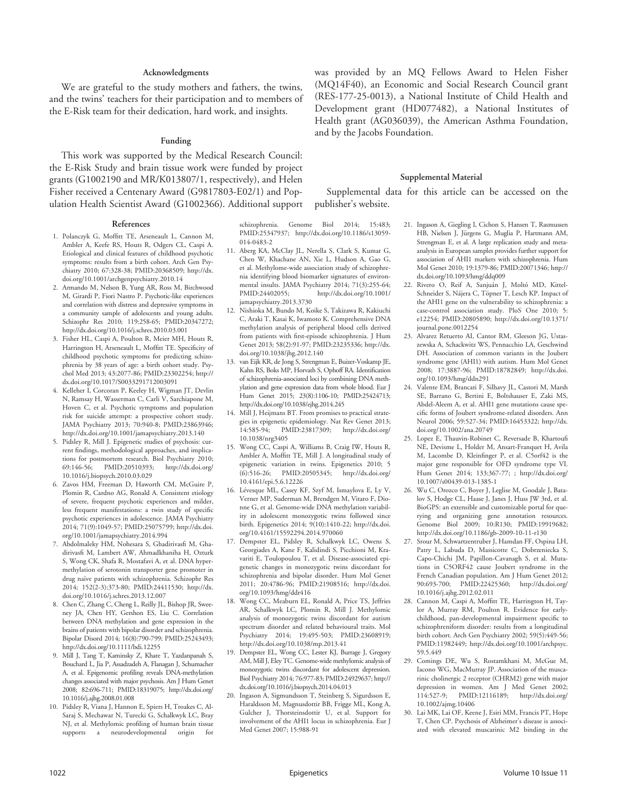## Acknowledgments

We are grateful to the study mothers and fathers, the twins, and the twins' teachers for their participation and to members of the E-Risk team for their dedication, hard work, and insights.

#### Funding

This work was supported by the Medical Research Council: the E-Risk Study and brain tissue work were funded by project grants (G1002190 and MR/K013807/1, respectively), and Helen Fisher received a Centenary Award (G9817803-E02/1) and Population Health Scientist Award (G1002366). Additional support

#### References

- 1. Polanczyk G, Moffitt TE, Arseneault L, Cannon M, Ambler A, Keefe RS, Houts R, Odgers CL, Caspi A. Etiological and clinical features of childhood psychotic symptoms: results from a birth cohort. Arch Gen Psychiatry 2010; 67:328-38; PMID:20368509; http://dx. doi.org/10.1001/archgenpsychiatry.2010.14
- 2. Armando M, Nelson B, Yung AR, Ross M, Birchwood M, Girardi P, Fiori Nastro P. Psychotic-like experiences and correlation with distress and depressive symptoms in a community sample of adolescents and young adults. Schizophr Res 2010; 119:258-65; PMID:20347272; http://dx.doi.org/10.1016/j.schres.2010.03.001
- 3. Fisher HL, Caspi A, Poulton R, Meier MH, Houts R, Harrington H, Arseneault L, Moffitt TE. Specificity of childhood psychotic symptoms for predicting schizophrenia by 38 years of age: a birth cohort study. Psychol Med 2013; 43:2077-86; PMID:23302254; http:// dx.doi.org/10.1017/S0033291712003091
- 4. Kelleher I, Corcoran P, Keeley H, Wigman JT, Devlin N, Ramsay H, Wasserman C, Carli V, Sarchiapone M, Hoven C, et al. Psychotic symptoms and population risk for suicide attempt: a prospective cohort study. JAMA Psychiatry 2013; 70:940-8; PMID:23863946; http://dx.doi.org/10.1001/jamapsychiatry.2013.140
- 5. Pidsley R, Mill J. Epigenetic studies of psychosis: current findings, methodological approaches, and implications for postmortem research. Biol Psychiatry 2010; 69:146-56; PMID:20510393; http://dx.doi.org/ 10.1016/j.biopsych.2010.03.029
- Zavos HM, Freeman D, Haworth CM, McGuire P, Plomin R, Cardno AG, Ronald A. Consistent etiology of severe, frequent psychotic experiences and milder, less frequent manifestations: a twin study of specific psychotic experiences in adolescence. JAMA Psychiatry 2014; 71(9):1049-57; PMID:25075799; http://dx.doi. org/10.1001/jamapsychiatry.2014.994
- 7. Abdolmaleky HM, Nohesara S, Ghadirivasfi M, Ghadirivasfi M, Lambert AW, Ahmadkhaniha H, Ozturk S, Wong CK, Shafa R, Mostafavi A, et al. DNA hypermethylation of serotonin transporter gene promoter in drug naïve patients with schizophrenia. Schizophr Res 2014; 152(2-3):373-80; PMID:24411530; http://dx. doi.org/10.1016/j.schres.2013.12.007
- 8. Chen C, Zhang C, Cheng L, Reilly JL, Bishop JR, Sweeney JA, Chen HY, Gershon ES, Liu C. Correlation between DNA methylation and gene expression in the brains of patients with bipolar disorder and schizophrenia. Bipolar Disord 2014; 16(8):790-799; PMID:25243493; http://dx.doi.org/10.1111/bdi.12255
- Mill J, Tang T, Kaminsky Z, Khare T, Yazdanpanah S, Bouchard L, Jia P, Assadzadeh A, Flanagan J, Schumacher A, et al. Epigenomic profiling reveals DNA-methylation changes associated with major psychosis. Am J Hum Genet 2008; 82:696-711; PMID:18319075; http://dx.doi.org/ 10.1016/j.ajhg.2008.01.008
- 10. Pidsley R, Viana J, Hannon E, Spiers H, Troakes C, Al-Saraj S, Mechawar N, Turecki G, Schalkwyk LC, Bray NJ, et al. Methylomic profiling of human brain tissue supports a neurodevelopmental origin

schizophrenia. Genome Biol 2014; 15:483; PMID:25347937; http://dx.doi.org/10.1186/s13059- 014-0483-2

- 11. Aberg KA, McClay JL, Nerella S, Clark S, Kumar G, Chen W, Khachane AN, Xie L, Hudson A, Gao G, et al. Methylome-wide association study of schizophrenia identifying blood biomarker signatures of environmental insults. JAMA Psychiatry 2014; 71(3):255-64;<br>PMID:24402055; http://dx.doi.org/10.1001/ http://dx.doi.org/10.1001/ jamapsychiatry.2013.3730
- 12. Nishioka M, Bundo M, Koike S, Takizawa R, Kakiuchi C, Araki T, Kasai K, Iwamoto K. Comprehensive DNA methylation analysis of peripheral blood cells derived from patients with first-episode schizophrenia. J Hum Genet 2013; 58(2):91-97; PMID:23235336; http://dx. doi.org/10.1038/jhg.2012.140
- 13. van Eijk KR, de Jong S, Strengman E, Buizer-Voskamp JE, Kahn RS, Boks MP, Horvath S, Ophoff RA. Identification of schizophrenia-associated loci by combining DNA methylation and gene expression data from whole blood. Eur J Hum Genet 2015; 23(8):1106-10; PMID:25424713; http://dx.doi.org/10.1038/ejhg.2014.245
- 14. Mill J, Heijmans BT. From promises to practical strategies in epigenetic epidemiology. Nat Rev Genet 2013; 14:585-94; PMID:23817309; http://dx.doi.org/ 10.1038/nrg3405
- 15. Wong CC, Caspi A, Williams B, Craig IW, Houts R, Ambler A, Moffitt TE, Mill J. A longitudinal study of epigenetic variation in twins. Epigenetics 2010; 5 (6):516-26; PMID:20505345; http://dx.doi.org/ 10.4161/epi.5.6.12226
- 16. Lévesque ML, Casey KF, Szyf M, Ismaylova E, Ly V, Verner MP, Suderman M, Brendgen M, Vitaro F, Dionne G, et al. Genome-wide DNA methylation variability in adolescent monozygotic twins followed since birth. Epigenetics 2014; 9(10):1410-22; http://dx.doi. org/10.4161/15592294.2014.970060
- 17. Dempster EL, Pidsley R, Schalkwyk LC, Owens S, Georgiades A, Kane F, Kalidindi S, Picchioni M, Kravariti E, Toulopoulou T, et al. Disease-associated epigenetic changes in monozygotic twins discordant for schizophrenia and bipolar disorder. Hum Mol Genet 2011; 20:4786-96; PMID:21908516; http://dx.doi. org/10.1093/hmg/ddr416
- 18. Wong CC, Meaburn EL, Ronald A, Price TS, Jeffries AR, Schalkwyk LC, Plomin R, Mill J. Methylomic analysis of monozygotic twins discordant for autism spectrum disorder and related behavioural traits. Mol Psychiatry 2014; 19:495-503; PMID:23608919; http://dx.doi.org/10.1038/mp.2013.41
- 19. Dempster EL, Wong CC, Lester KJ, Burrage J, Gregory AM, Mill J, Eley TC. Genome-wide methylomic analysis of monozygotic twins discordant for adolescent depression. Biol Psychiatry 2014; 76:977-83; PMID:24929637; http:// dx.doi.org/10.1016/j.biopsych.2014.04.013
- 20. Ingason A, Sigmundsson T, Steinberg S, Sigurdsson E, Haraldsson M, Magnusdottir BB, Frigge ML, Kong A, Gulcher J, Thorsteinsdottir U, et al. Support for involvement of the AHI1 locus in schizophrenia. Eur J Med Genet 2007; 15:988-91

was provided by an MQ Fellows Award to Helen Fisher (MQ14F40), an Economic and Social Research Council grant (RES-177-25-0013), a National Institute of Child Health and Development grant (HD077482), a National Institutes of Health grant (AG036039), the American Asthma Foundation, and by the Jacobs Foundation.

#### Supplemental Material

Supplemental data for this article can be accessed on the [publisher's website.](http://dx.doi.org/10.1080/15592294.2015.1099797)

- 21. Ingason A, Giegling I, Cichon S, Hansen T, Rasmussen HB, Nielsen J, Jürgens G, Muglia P, Hartmann AM, Strengman E, et al. A large replication study and metaanalysis in European samples provides further support for association of AHI1 markers with schizophrenia. Hum Mol Genet 2010; 19:1379-86; PMID:20071346; http:// dx.doi.org/10.1093/hmg/ddq009
- 22. Rivero O, Reif A, Sanjuán J, Moltó MD, Kittel-Schneider S, Nájera C, Töpner T, Lesch KP. Impact of the AHI1 gene on the vulnerability to schizophrenia: a case-control association study. PloS One 2010; 5: e12254; PMID:20805890; http://dx.doi.org/10.1371/ journal.pone.0012254
- 23. Alvarez Retuerto AI, Cantor RM, Gleeson JG, Ustaszewska A, Schackwitz WS, Pennacchio LA, Geschwind DH. Association of common variants in the Joubert syndrome gene (AHI1) with autism. Hum Mol Genet 2008; 17:3887-96; PMID:18782849; http://dx.doi. org/10.1093/hmg/ddn291
- 24. Valente EM, Brancati F, Silhavy JL, Castori M, Marsh SE, Barrano G, Bertini E, Boltshauser E, Zaki MS, Abdel-Aleem A, et al. AHI1 gene mutations cause specific forms of Joubert syndrome-related disorders. Ann Neurol 2006; 59:527-34; PMID:16453322; http://dx. doi.org/10.1002/ana.20749
- 25. Lopez E, Thauvin-Robinet C, Reversade B, Khartoufi NE, Devisme L, Holder M, Ansart-Franquet H, Avila M, Lacombe D, Kleinfinger P, et al. C5orf42 is the major gene responsible for OFD syndrome type VI. Hum Genet 2014; 133:367-77; ; http://dx.doi.org/ 10.1007/s00439-013-1385-1
- 26. Wu C, Orozco C, Boyer J, Leglise M, Goodale J, Batalov S, Hodge CL, Haase J, Janes J, Huss JW 3rd, et al. BioGPS: an extensible and customizable portal for querying and organizing gene annotation resources. Genome Biol 2009; 10:R130; PMID:19919682; http://dx.doi.org/10.1186/gb-2009-10-11-r130
- 27. Srour M, Schwartzentruber J, Hamdan FF, Ospina LH, Patry L, Labuda D, Massicotte C, Dobrzeniecka S, Capo-Chichi JM, Papillon-Cavanagh S, et al. Mutations in C5ORF42 cause Joubert syndrome in the French Canadian population. Am J Hum Genet 2012; 90:693-700; PMID:22425360; http://dx.doi.org/ 10.1016/j.ajhg.2012.02.011
- 28. Cannon M, Caspi A, Moffitt TE, Harrington H, Taylor A, Murray RM, Poulton R. Evidence for earlychildhood, pan-developmental impairment specific to schizophreniform disorder: results from a longitudinal birth cohort. Arch Gen Psychiatry 2002; 59(5):449-56; PMID:11982449; http://dx.doi.org/10.1001/archpsyc. 59.5.449
- 29. Comings DE, Wu S, Rostamkhani M, McGue M, Iacono WG, MacMurray JP. Association of the muscarinic cholinergic 2 receptor (CHRM2) gene with major depression in women. Am J Med Genet 2002; 114:527-9; PMID:12116189; http://dx.doi.org/ 10.1002/ajmg.10406
- 30. Lai MK, Lai OF, Keene J, Esiri MM, Francis PT, Hope T, Chen CP. Psychosis of Alzheimer's disease is associated with elevated muscarinic M2 binding in the